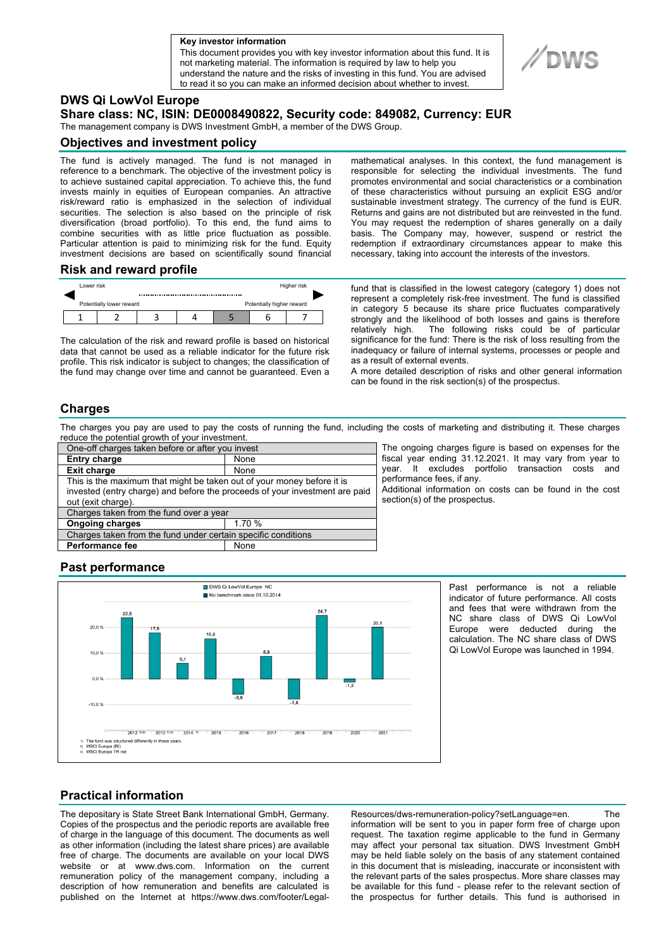**a Key investor information**

This document provides you with key investor information about this fund. It is not marketing material. The information is required by law to help you understand the nature and the risks of investing in this fund. You are advised to read it so you can make an informed decision about whether to invest.



# **DWS Qi LowVol Europe**

**Share class: NC, ISIN: DE0008490822, Security code: 849082, Currency: EUR** 

The management company is DWS Investment GmbH, a member of the DWS Group.

#### **Objectives and investment policy**

The fund is actively managed. The fund is not managed in reference to a benchmark. The objective of the investment policy is to achieve sustained capital appreciation. To achieve this, the fund invests mainly in equities of European companies. An attractive risk/reward ratio is emphasized in the selection of individual securities. The selection is also based on the principle of risk diversification (broad portfolio). To this end, the fund aims to combine securities with as little price fluctuation as possible. Particular attention is paid to minimizing risk for the fund. Equity investment decisions are based on scientifically sound financial mathematical analyses. In this context, the fund management is responsible for selecting the individual investments. The fund promotes environmental and social characteristics or a combination of these characteristics without pursuing an explicit ESG and/or sustainable investment strategy. The currency of the fund is EUR. Returns and gains are not distributed but are reinvested in the fund. You may request the redemption of shares generally on a daily basis. The Company may, however, suspend or restrict the redemption if extraordinary circumstances appear to make this necessary, taking into account the interests of the investors.

### **Risk and reward profile**



The calculation of the risk and reward profile is based on historical data that cannot be used as a reliable indicator for the future risk profile. This risk indicator is subject to changes; the classification of the fund may change over time and cannot be guaranteed. Even a

fund that is classified in the lowest category (category 1) does not represent a completely risk-free investment. The fund is classified in category 5 because its share price fluctuates comparatively strongly and the likelihood of both losses and gains is therefore<br>relatively high. The following risks could be of particular The following risks could be of particular significance for the fund: There is the risk of loss resulting from the inadequacy or failure of internal systems, processes or people and as a result of external events.

A more detailed description of risks and other general information can be found in the risk section(s) of the prospectus.

#### **Charges**

The charges you pay are used to pay the costs of running the fund, including the costs of marketing and distributing it. These charges reduce the potential growth of your investment.

| One-off charges taken before or after you invest                                                                                                                            |        |
|-----------------------------------------------------------------------------------------------------------------------------------------------------------------------------|--------|
| <b>Entry charge</b>                                                                                                                                                         | None   |
| <b>Exit charge</b>                                                                                                                                                          | None   |
| This is the maximum that might be taken out of your money before it is<br>invested (entry charge) and before the proceeds of your investment are paid<br>out (exit charge). |        |
| Charges taken from the fund over a year                                                                                                                                     |        |
| <b>Ongoing charges</b>                                                                                                                                                      | 1.70 % |
| Charges taken from the fund under certain specific conditions                                                                                                               |        |
| <b>Performance fee</b>                                                                                                                                                      | None   |

The ongoing charges figure is based on expenses for the fiscal year ending 31.12.2021. It may vary from year to year. It excludes portfolio transaction costs and performance fees, if any.

Additional information on costs can be found in the cost section(s) of the prospectus.

## **Past performance**



Past performance is not a reliable indicator of future performance. All costs and fees that were withdrawn from the NC share class of DWS Qi LowVol Europe were deducted during the calculation. The NC share class of DWS Qi LowVol Europe was launched in 1994.

## **Practical information**

The depositary is State Street Bank International GmbH, Germany. Copies of the prospectus and the periodic reports are available free of charge in the language of this document. The documents as well as other information (including the latest share prices) are available free of charge. The documents are available on your local DWS website or at www.dws.com. Information on the current remuneration policy of the management company, including a description of how remuneration and benefits are calculated is published on the Internet at https://www.dws.com/footer/LegalResources/dws-remuneration-policy?setLanguage=en. The information will be sent to you in paper form free of charge upon request. The taxation regime applicable to the fund in Germany may affect your personal tax situation. DWS Investment GmbH may be held liable solely on the basis of any statement contained in this document that is misleading, inaccurate or inconsistent with the relevant parts of the sales prospectus. More share classes may be available for this fund - please refer to the relevant section of the prospectus for further details. This fund is authorised in